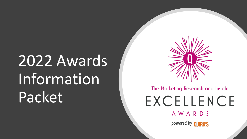# 2022 Awards Information Packet



### The Marketing Research and Insight EXCELLENCE AWARDS powered by **QUIRK'S**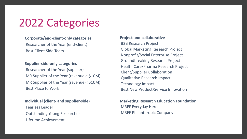## 2022 Categories

#### **Corporate/end-client-only categories**

Researcher of the Year (end-client) Best Client-Side Team

#### **Supplier-side-only categories**

Researcher of the Year (supplier) MR Supplier of the Year (revenue ≥ \$10M) MR Supplier of the Year (revenue < \$10M) Best Place to Work

#### **Individual (client- and supplier-side)** Fearless Leader Outstanding Young Researcher Lifetime Achievement

#### **Project and collaborative**

B2B Research Project Global Marketing Research Project Nonprofit/Social Enterprise Project Groundbreaking Research Project Health Care/Pharma Research Project Client/Supplier Collaboration Qualitative Research Impact Technology Impact Best New Product/Service Innovation

#### **Marketing Research Education Foundation** MREF Everyday Hero MREF Philanthropic Company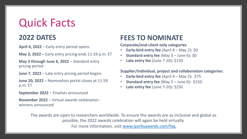## Quick Facts

### **2022 DATES**

**April 4, 2022** – Early entry period opens

**May 2, 2022 –** Early entry pricing ends 11:59 p.m. ET

**May 3 through June 6, 2022** – Standard entry pricing period

**June 7**, **2022** – Late entry pricing period begins

**June 20, 2022** – Nomination portal closes at 11:59 p.m. ET

**September 2022** – Finalists announced

**November 2022** – Virtual awards celebration winners announced

#### **FEES TO NO**

**Corporate/end-client** 

- **Early-bird entry fee all 4 Formal 4 Formal 4 and 7 Formal 4**  $\sigma$
- **Standard entry fe**
- **[Late entry fee](http://www.quirksawards.com/faq) (June 120)**

Supplier/individual,

- **Early-bird entry fee**
- **Standard entry fe**
- **Late entry fee (June 70)**

The awards are open to researchers worldwide. To ensure the award possible, the 2022 awards celebration will again be For more information, visit www.quirksawards.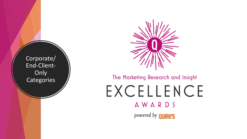Corporate/ End-Client-**Only Categories** 



### The Marketing Research and Insight EXCELLENCE AWARDS powered by **QUIRK'S**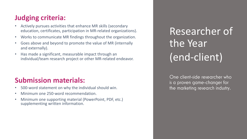- Actively pursues activities that enhance MR skills (secondary education, certificates, participation in MR-related organizations).
- Works to communicate MR findings throughout the organization.
- Goes above and beyond to promote the value of MR (internally and externally).
- Has made a significant, measurable impact through an individual/team research project or other MR-related endeavor.

#### **Submission materials:**

- 500-word statement on why the individual should win.
- Minimum one 250-word recommendation.
- Minimum one supporting material (PowerPoint, PDF, etc.) supplementing written information.

## Researcher of the Year (end-client)

One client-side researcher who is a proven game-changer for the marketing research industry.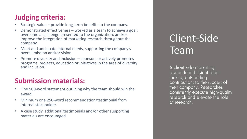- Strategic value provide long-term benefits to the company.
- Demonstrated effectiveness worked as a team to achieve a goal; overcome a challenge presented to the organization; and/or improve the integration of marketing research throughout the company.
- Meet and anticipate internal needs, supporting the company's overall mission and/or vision.
- Promote diversity and inclusion sponsors or actively promotes programs, projects, education or initiatives in the area of diversity and inclusion.

#### **Submission materials:**

- One 500-word statement outlining why the team should win the award.
- Minimum one 250-word recommendation/testimonial from internal stakeholder.
- A case study, additional testimonials and/or other supporting materials are encouraged.

## Client-Side Team

A client-side marketing research and insight team making outstanding contributions to the success of their company. Researchers consistently execute high-quality research and elevate the role of research.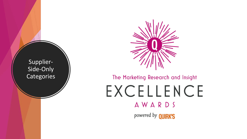

### The Marketing Research and Insight EXCELLENCE **AWARDS** powered by **QUIRK'S**

Supplier-Side-Only **Categories**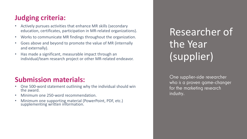- Actively pursues activities that enhance MR skills (secondary education, certificates, participation in MR-related organizations).
- Works to communicate MR findings throughout the organization.
- Goes above and beyond to promote the value of MR (internally and externally).
- Has made a significant, measurable impact through an individual/team research project or other MR-related endeavor.

#### **Submission materials:**

- One 500-word statement outlining why the individual should win the award.
- Minimum one 250-word recommendation.
- Minimum one supporting material (PowerPoint, PDF, etc.) supplementing written information.

## Researcher of the Year (supplier)

One supplier-side researcher who is a proven game-changer for the marketing research industry.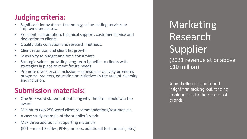- Significant innovation technology, value-adding services or improved processes.
- Excellent collaboration, technical support, customer service and dedication to clients.
- Quality data collection and research methods.
- Client retention and client list growth.
- Sensitivity to budget and time constraints.
- Strategic value providing long-term benefits to clients with strategies in place to meet future needs.
- Promote diversity and inclusion sponsors or actively promotes programs, projects, education or initiatives in the area of diversity and inclusion.

#### **Submission materials:**

- One 500-word statement outlining why the firm should win the award.
- Minimum two 250-word client recommendations/testimonials.
- A case study example of the supplier's work.
- Max three additional supporting materials. (PPT – max 10 slides; PDFs; metrics; additional testimonials, etc.)

**Marketing** Research Supplier (2021 revenue at or above \$10 million)

A marketing research and insight firm making outstanding contributions to the success of brands.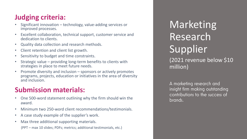- Significant innovation technology, value-adding services or improved processes.
- Excellent collaboration, technical support, customer service and dedication to clients.
- Quality data collection and research methods.
- Client retention and client list growth.
- Sensitivity to budget and time constraints.
- Strategic value providing long-term benefits to clients with strategies in place to meet future needs.
- Promote diversity and inclusion sponsors or actively promotes programs, projects, education or initiatives in the area of diversity and inclusion.

#### **Submission materials:**

- One 500-word statement outlining why the firm should win the award.
- Minimum two 250-word client recommendations/testimonials.
- A case study example of the supplier's work.
- Max three additional supporting materials.

(PPT – max 10 slides; PDFs; metrics; additional testimonials, etc.)

**Marketing** Research **Supplier** (2021 revenue below \$10 million)

A marketing research and insight firm making outstanding contributions to the success of brands.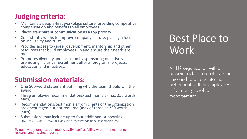- Maintains a people-first workplace culture, providing competitive compensation and benefits to all employees.
- Places transparent communication as a top priority.
- Consistently works to improve company culture, placing a focus on inclusivity and trust.
- Provides access to career development, mentorship and other resources that build employees up and ensure their needs are met.
- Promotes diversity and inclusion by sponsoring or actively promoting inclusive recruitment efforts, programs, projects, education and initiatives.

#### **Submission materials:**

- One 500-word statement outlining why the team should win the award.
- Three employee recommendations/testimonials (max 250 words, each).
- Recommendations/testimonials from clients of the organization are encouraged but not required (max of three at 250 words, each).
- Submissions may include up to four additional supporting materials. (PPT – max 10 slides; PDFs; metrics; additional testimonials, etc.)

To qualify, the organization must classify itself as falling within the marketing research and insights industry.

### Best Place to Work

An MR organization with a proven track record of investing time and resources into the betterment of their employees – from entry-level to management.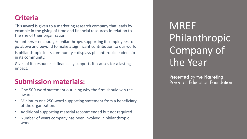#### **Criteria**

This award is given to a marketing research company that leads by example in the giving of time and financial resources in relation to the size of their organization.

Volunteers – encourages philanthropy, supporting its employees to go above and beyond to make a significant contribution to our world.

Is philanthropic in its community – displays philanthropic leadership in its community.

Gives of its resources – financially supports its causes for a lasting impact.

#### **Submission materials:**

- One 500-word statement outlining why the firm should win the award.
- Minimum one 250-word supporting statement from a beneficiary of the organization.
- Additional supporting material recommended but not required.
- Number of years company has been involved in philanthropic work.

**MREF** Philanthropic Company of the Year

Presented by the Marketing Research Education Foundation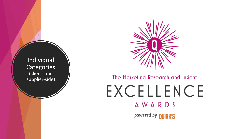

### The Marketing Research and Insight EXCELLENCE AWARDS powered by **QUIRK'S**

Individual **Categories** (client- and supplier-side)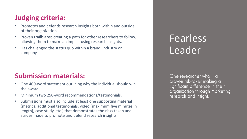- Promotes and defends research insights both within and outside of their organization.
- Proven trailblazer, creating a path for other researchers to follow, allowing them to make an impact using research insights.
- Has challenged the status quo within a brand, industry or company.

#### **Submission materials:**

- One 400-word statement outlining why the individual should win the award.
- Minimum two 250-word recommendations/testimonials.
- Submissions must also include at least one supporting material (metrics, additional testimonials, video [maximum five minutes in length], case study, etc.) that demonstrates the risks taken and strides made to promote and defend research insights.

### **Fearless** Leader

One researcher who is a proven risk-taker making a significant difference in their organization through marketing research and insight.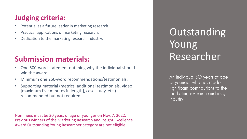- Potential as a future leader in marketing research.
- Practical applications of marketing research.
- Dedication to the marketing research industry.

### **Submission materials:**

- One 500-word statement outlining why the individual should win the award.
- Minimum one 250-word recommendations/testimonials.
- Supporting material (metrics, additional testimonials, video [maximum five minutes in length], case study, etc.) recommended but not required.

Nominees must be 30 years of age or younger on Nov. 7, 2022. Previous winners of the Marketing Research and Insight Excellence Award Outstanding Young Researcher category are not eligible.

**Outstanding** Young Researcher

An individual 30 years of age or younger who has made significant contributions to the marketing research and insight industry.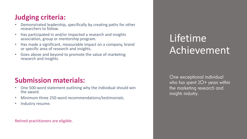- Demonstrated leadership, specifically by creating paths for other researchers to follow.
- Has participated in and/or impacted a research and insights association, group or mentorship program.
- Has made a significant, measurable impact on a company, brand or specific area of research and insights.
- Goes above and beyond to promote the value of marketing research and insights.

#### **Submission materials:**

- One 500-word statement outlining why the individual should win the award.
- Minimum three 250-word recommendations/testimonials.
- Industry resume.

Retired practitioners are eligible.

### Lifetime Achievement

One exceptional individual who has spent 2O+ years within the marketing research and insights industry.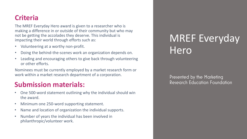#### **Criteria**

The MREF Everyday Hero award is given to a researcher who is making a difference in or outside of their community but who may not be getting the accolades they deserve. This individual is impacting their world through efforts such as:

- Volunteering at a worthy non-profit.
- Doing the behind-the-scenes work an organization depends on.
- Leading and encouraging others to give back through volunteering or other efforts.

Nominees must be currently employed by a market research form or work within a market research department of a corporation.

#### **Submission materials:**

- One 500-word statement outlining why the individual should win the award.
- Minimum one 250-word supporting statement.
- Name and location of organization the individual supports.
- Number of years the individual has been involved in philanthropic/volunteer work.

### MREF Everyday Hero

Presented by the Marketing Research Education Foundation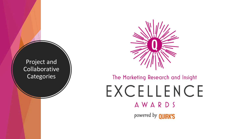

### The Marketing Research and Insight EXCELLENCE AWARDS powered by **QUIRK'S**

Project and Collaborative **Categories**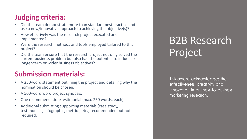- Did the team demonstrate more than standard best practice and use a new/innovative approach to achieving the objective(s)?
- How effectively was the research project executed and implemented?
- Were the research methods and tools employed tailored to this project?
- Did the team ensure that the research project not only solved the current business problem but also had the potential to influence longer-term or wider business objectives?

#### **Submission materials:**

- A 250-word statement outlining the project and detailing why the nomination should be chosen.
- A 500-word word project synopsis.
- One recommendation/testimonial (max. 250 words, each).
- Additional submitting supporting materials (case study, testimonials, infographic, metrics, etc.) recommended but not required.

## B2B Research Project

This award acknowledges the effectiveness, creativity and innovation in business-to-business marketing research.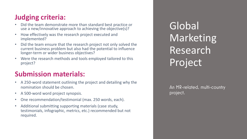- Did the team demonstrate more than standard best practice or use a new/innovative approach to achieving the objective(s)?
- How effectively was the research project executed and implemented?
- Did the team ensure that the research project not only solved the current business problem but also had the potential to influence longer-term or wider business objectives?
- Were the research methods and tools employed tailored to this project?

#### **Submission materials:**

- A 250-word statement outlining the project and detailing why the nomination should be chosen.
- A 500-word word project synopsis.
- One recommendation/testimonial (max. 250 words, each).
- Additional submitting supporting materials (case study, testimonials, infographic, metrics, etc.) recommended but not required.

Global Marketing Research Project

An MR-related, multi-country project.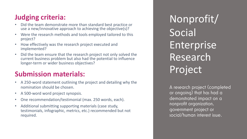- Did the team demonstrate more than standard best practice or use a new/innovative approach to achieving the objective(s)?
- Were the research methods and tools employed tailored to this project?
- How effectively was the research project executed and implemented?
- Did the team ensure that the research project not only solved the current business problem but also had the potential to influence longer-term or wider business objectives?

#### **Submission materials:**

- A 250-word statement outlining the project and detailing why the nomination should be chosen.
- A 500-word word project synopsis.
- One recommendation/testimonial (max. 250 words, each).
- Additional submitting supporting materials (case study, testimonials, infographic, metrics, etc.) recommended but not required.

Nonprofit/ Social **Enterprise** Research Project

A research project (completed or ongoing) that has had a demonstrated impact on a nonprofit organization, government project or social/human interest issue.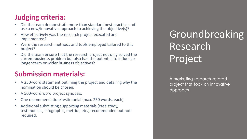- Did the team demonstrate more than standard best practice and use a new/innovative approach to achieving the objective(s)?
- How effectively was the research project executed and implemented?
- Were the research methods and tools employed tailored to this project?
- Did the team ensure that the research project not only solved the current business problem but also had the potential to influence longer-term or wider business objectives?

#### **Submission materials:**

- A 250-word statement outlining the project and detailing why the nomination should be chosen.
- A 500-word word project synopsis.
- One recommendation/testimonial (max. 250 words, each).
- Additional submitting supporting materials (case study, testimonials, infographic, metrics, etc.) recommended but not required.

Groundbreaking Research Project

A marketing research-related project that took an innovative approach.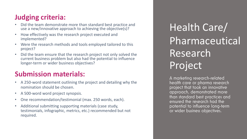- Did the team demonstrate more than standard best practice and use a new/innovative approach to achieving the objective(s)?
- How effectively was the research project executed and implemented?
- Were the research methods and tools employed tailored to this project?
- Did the team ensure that the research project not only solved the current business problem but also had the potential to influence longer-term or wider business objectives?

#### **Submission materials:**

- A 250-word statement outlining the project and detailing why the nomination should be chosen.
- A 500-word word project synopsis.
- One recommendation/testimonial (max. 250 words, each).
- Additional submitting supporting materials (case study, testimonials, infographic, metrics, etc.) recommended but not required.

Health Care/ Pharmaceutical Research Project

A marketing research-related health care or pharma research project that took an innovative approach, demonstrated more than standard best practices and ensured the research had the potential to influence long-term or wider business objectives.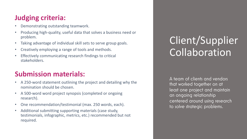- Demonstrating outstanding teamwork.
- Producing high-quality, useful data that solves a business need or problem.
- Taking advantage of individual skill sets to serve group goals.
- Creatively employing a range of tools and methods.
- Effectively communicating research findings to critical stakeholders.

#### **Submission materials:**

- A 250-word statement outlining the project and detailing why the nomination should be chosen.
- A 500-word word project synopsis (completed or ongoing research).
- One recommendation/testimonial (max. 250 words, each).
- Additional submitting supporting materials (case study, testimonials, infographic, metrics, etc.) recommended but not required.

## Client/Supplier Collaboration

A team of clients and vendors that worked together on at least one project and maintain an ongoing relationship centered around using research to solve strategic problems.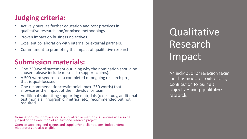- Actively pursues further education and best practices in qualitative research and/or mixed methodology.
- Proven impact on business objectives.
- Excellent collaboration with internal or external partners.
- Commitment to promoting the impact of qualitative research.

#### **Submission materials:**

- One 250-word statement outlining why the nomination should be chosen (please include metrics to support claims).
- A 500-word synopsis of a completed or ongoing research project that is qual-focused.
- One recommendation/testimonial (max. 250 words) that showcases the impact of the individual or team.
- Additional submitting supporting materials (case study, additional testimonials, infographic, metrics, etc.) recommended but not required.

Nominations must prove a focus on qualitative methods. All entries will also be judged on the execution of at least one research project.

Open to suppliers, end-clients and supplier/end-client teams. Independent moderators are also eligible.

**Qualitative** Research Impact

An individual or research team that has made an outstanding contribution to business objectives using qualitative research.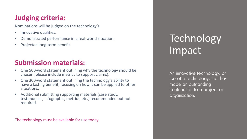Nominations will be judged on the technology's:

- Innovative qualities.
- Demonstrated performance in a real-world situation.
- Projected long-term benefit.

### **Submission materials:**

- One 500-word statement outlining why the technology should be chosen (please include metrics to support claims).
- One 300-word statement outlining the technology's ability to have a lasting benefit, focusing on how it can be applied to other situations.
- Additional submitting supporting materials (case study, testimonials, infographic, metrics, etc.) recommended but not required.

The technology must be available for use today.

## Technology Impact

An innovative technology, or use of a technology, that has made an outstanding contribution to a project or organization.